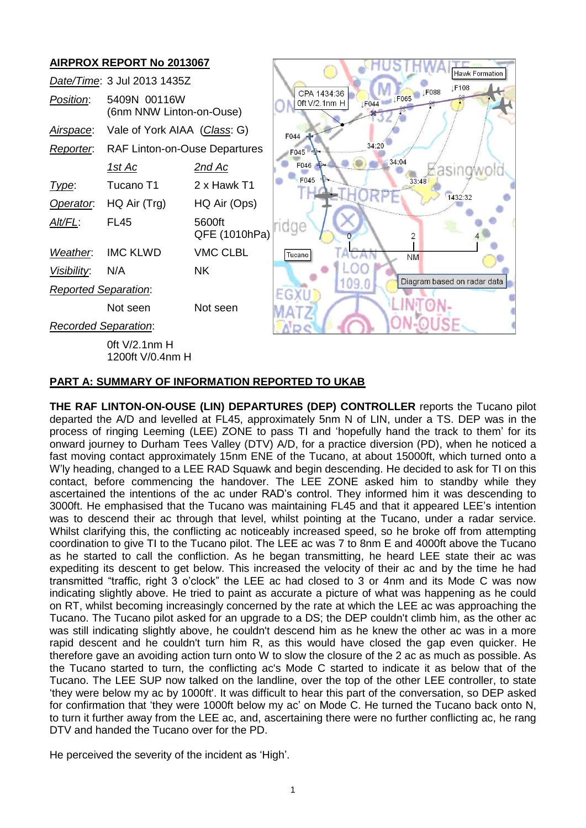# **AIRPROX REPORT No 2013067**



#### **PART A: SUMMARY OF INFORMATION REPORTED TO UKAB**

**THE RAF LINTON-ON-OUSE (LIN) DEPARTURES (DEP) CONTROLLER** reports the Tucano pilot departed the A/D and levelled at FL45, approximately 5nm N of LIN, under a TS. DEP was in the process of ringing Leeming (LEE) ZONE to pass TI and 'hopefully hand the track to them' for its onward journey to Durham Tees Valley (DTV) A/D, for a practice diversion (PD), when he noticed a fast moving contact approximately 15nm ENE of the Tucano, at about 15000ft, which turned onto a W'ly heading, changed to a LEE RAD Squawk and begin descending. He decided to ask for TI on this contact, before commencing the handover. The LEE ZONE asked him to standby while they ascertained the intentions of the ac under RAD's control. They informed him it was descending to 3000ft. He emphasised that the Tucano was maintaining FL45 and that it appeared LEE's intention was to descend their ac through that level, whilst pointing at the Tucano, under a radar service. Whilst clarifying this, the conflicting ac noticeably increased speed, so he broke off from attempting coordination to give TI to the Tucano pilot. The LEE ac was 7 to 8nm E and 4000ft above the Tucano as he started to call the confliction. As he began transmitting, he heard LEE state their ac was expediting its descent to get below. This increased the velocity of their ac and by the time he had transmitted "traffic, right 3 o'clock" the LEE ac had closed to 3 or 4nm and its Mode C was now indicating slightly above. He tried to paint as accurate a picture of what was happening as he could on RT, whilst becoming increasingly concerned by the rate at which the LEE ac was approaching the Tucano. The Tucano pilot asked for an upgrade to a DS; the DEP couldn't climb him, as the other ac was still indicating slightly above, he couldn't descend him as he knew the other ac was in a more rapid descent and he couldn't turn him R, as this would have closed the gap even quicker. He therefore gave an avoiding action turn onto W to slow the closure of the 2 ac as much as possible. As the Tucano started to turn, the conflicting ac's Mode C started to indicate it as below that of the Tucano. The LEE SUP now talked on the landline, over the top of the other LEE controller, to state 'they were below my ac by 1000ft'. It was difficult to hear this part of the conversation, so DEP asked for confirmation that 'they were 1000ft below my ac' on Mode C. He turned the Tucano back onto N, to turn it further away from the LEE ac, and, ascertaining there were no further conflicting ac, he rang DTV and handed the Tucano over for the PD.

He perceived the severity of the incident as 'High'.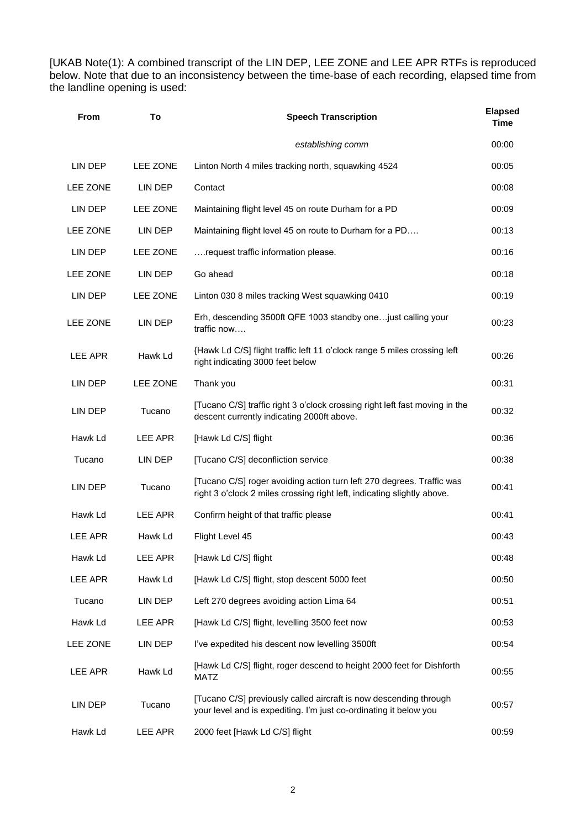[UKAB Note(1): A combined transcript of the LIN DEP, LEE ZONE and LEE APR RTFs is reproduced below. Note that due to an inconsistency between the time-base of each recording, elapsed time from the landline opening is used:

| <b>From</b>    | To       | <b>Speech Transcription</b>                                                                                                                      | <b>Elapsed</b><br><b>Time</b> |
|----------------|----------|--------------------------------------------------------------------------------------------------------------------------------------------------|-------------------------------|
|                |          | establishing comm                                                                                                                                | 00:00                         |
| LIN DEP        | LEE ZONE | Linton North 4 miles tracking north, squawking 4524                                                                                              | 00:05                         |
| LEE ZONE       | LIN DEP  | Contact                                                                                                                                          | 00:08                         |
| LIN DEP        | LEE ZONE | Maintaining flight level 45 on route Durham for a PD                                                                                             | 00:09                         |
| LEE ZONE       | LIN DEP  | Maintaining flight level 45 on route to Durham for a PD                                                                                          | 00:13                         |
| LIN DEP        | LEE ZONE | request traffic information please.                                                                                                              | 00:16                         |
| LEE ZONE       | LIN DEP  | Go ahead                                                                                                                                         | 00:18                         |
| LIN DEP        | LEE ZONE | Linton 030 8 miles tracking West squawking 0410                                                                                                  | 00:19                         |
| LEE ZONE       | LIN DEP  | Erh, descending 3500ft QFE 1003 standby one just calling your<br>traffic now                                                                     | 00:23                         |
| <b>LEE APR</b> | Hawk Ld  | {Hawk Ld C/S] flight traffic left 11 o'clock range 5 miles crossing left<br>right indicating 3000 feet below                                     | 00:26                         |
| LIN DEP        | LEE ZONE | Thank you                                                                                                                                        | 00:31                         |
| LIN DEP        | Tucano   | [Tucano C/S] traffic right 3 o'clock crossing right left fast moving in the<br>descent currently indicating 2000ft above.                        | 00:32                         |
| Hawk Ld        | LEE APR  | [Hawk Ld C/S] flight                                                                                                                             | 00:36                         |
| Tucano         | LIN DEP  | [Tucano C/S] deconfliction service                                                                                                               | 00:38                         |
| LIN DEP        | Tucano   | [Tucano C/S] roger avoiding action turn left 270 degrees. Traffic was<br>right 3 o'clock 2 miles crossing right left, indicating slightly above. | 00:41                         |
| Hawk Ld        | LEE APR  | Confirm height of that traffic please                                                                                                            | 00:41                         |
| <b>LEE APR</b> | Hawk Ld  | Flight Level 45                                                                                                                                  | 00:43                         |
| Hawk Ld        | LEE APR  | [Hawk Ld C/S] flight                                                                                                                             | 00:48                         |
| <b>LEE APR</b> | Hawk Ld  | [Hawk Ld C/S] flight, stop descent 5000 feet                                                                                                     | 00:50                         |
| Tucano         | LIN DEP  | Left 270 degrees avoiding action Lima 64                                                                                                         | 00:51                         |
| Hawk Ld        | LEE APR  | [Hawk Ld C/S] flight, levelling 3500 feet now                                                                                                    | 00:53                         |
| LEE ZONE       | LIN DEP  | I've expedited his descent now levelling 3500ft                                                                                                  | 00:54                         |
| <b>LEE APR</b> | Hawk Ld  | [Hawk Ld C/S] flight, roger descend to height 2000 feet for Dishforth<br><b>MATZ</b>                                                             | 00:55                         |
| LIN DEP        | Tucano   | [Tucano C/S] previously called aircraft is now descending through<br>your level and is expediting. I'm just co-ordinating it below you           | 00:57                         |
| Hawk Ld        | LEE APR  | 2000 feet [Hawk Ld C/S] flight                                                                                                                   | 00:59                         |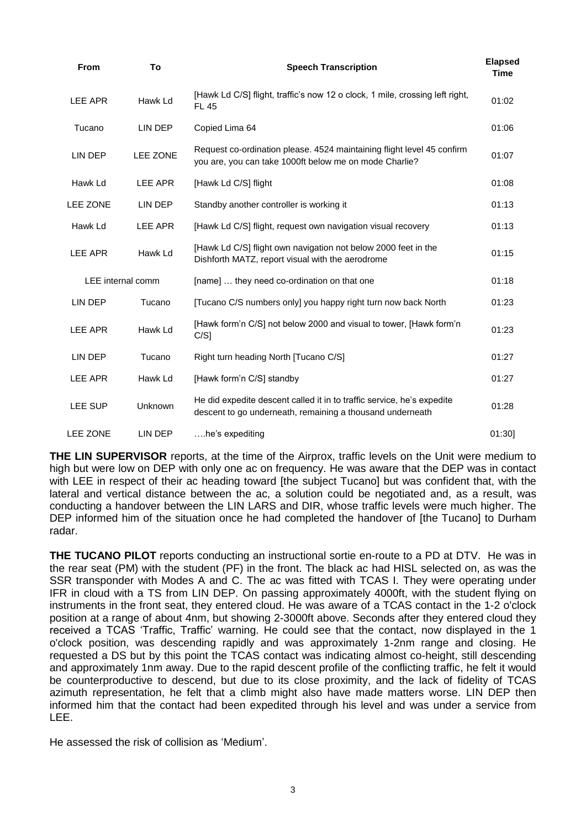| From              | To       | <b>Speech Transcription</b>                                                                                                         | <b>Elapsed</b><br><b>Time</b> |
|-------------------|----------|-------------------------------------------------------------------------------------------------------------------------------------|-------------------------------|
| LEE APR           | Hawk Ld  | [Hawk Ld C/S] flight, traffic's now 12 o clock, 1 mile, crossing left right,<br><b>FL 45</b>                                        | 01:02                         |
| Tucano            | LIN DEP  | Copied Lima 64                                                                                                                      | 01:06                         |
| LIN DEP           | LEE ZONE | Request co-ordination please. 4524 maintaining flight level 45 confirm<br>you are, you can take 1000ft below me on mode Charlie?    | 01:07                         |
| Hawk Ld           | LEE APR  | [Hawk Ld C/S] flight                                                                                                                | 01:08                         |
| <b>LEE ZONE</b>   | LIN DEP  | Standby another controller is working it                                                                                            | 01:13                         |
| Hawk Ld           | LEE APR  | [Hawk Ld C/S] flight, request own navigation visual recovery                                                                        | 01:13                         |
| LEE APR           | Hawk Ld  | [Hawk Ld C/S] flight own navigation not below 2000 feet in the<br>Dishforth MATZ, report visual with the aerodrome                  | 01:15                         |
| LEE internal comm |          | [name]  they need co-ordination on that one                                                                                         | 01:18                         |
| LIN DEP           | Tucano   | [Tucano C/S numbers only] you happy right turn now back North                                                                       | 01:23                         |
| LEE APR           | Hawk Ld  | [Hawk form'n C/S] not below 2000 and visual to tower, [Hawk form'n<br>$C/S$ ]                                                       | 01:23                         |
| LIN DEP           | Tucano   | Right turn heading North [Tucano C/S]                                                                                               | 01:27                         |
| LEE APR           | Hawk Ld  | [Hawk form'n C/S] standby                                                                                                           | 01:27                         |
| LEE SUP           | Unknown  | He did expedite descent called it in to traffic service, he's expedite<br>descent to go underneath, remaining a thousand underneath | 01:28                         |
| <b>LEE ZONE</b>   | LIN DEP  | he's expediting                                                                                                                     | 01:30                         |

**THE LIN SUPERVISOR** reports, at the time of the Airprox, traffic levels on the Unit were medium to high but were low on DEP with only one ac on frequency. He was aware that the DEP was in contact with LEE in respect of their ac heading toward [the subject Tucano] but was confident that, with the lateral and vertical distance between the ac, a solution could be negotiated and, as a result, was conducting a handover between the LIN LARS and DIR, whose traffic levels were much higher. The DEP informed him of the situation once he had completed the handover of [the Tucano] to Durham radar.

**THE TUCANO PILOT** reports conducting an instructional sortie en-route to a PD at DTV. He was in the rear seat (PM) with the student (PF) in the front. The black ac had HISL selected on, as was the SSR transponder with Modes A and C. The ac was fitted with TCAS I. They were operating under IFR in cloud with a TS from LIN DEP. On passing approximately 4000ft, with the student flying on instruments in the front seat, they entered cloud. He was aware of a TCAS contact in the 1-2 o'clock position at a range of about 4nm, but showing 2-3000ft above. Seconds after they entered cloud they received a TCAS 'Traffic, Traffic' warning. He could see that the contact, now displayed in the 1 o'clock position, was descending rapidly and was approximately 1-2nm range and closing. He requested a DS but by this point the TCAS contact was indicating almost co-height, still descending and approximately 1nm away. Due to the rapid descent profile of the conflicting traffic, he felt it would be counterproductive to descend, but due to its close proximity, and the lack of fidelity of TCAS azimuth representation, he felt that a climb might also have made matters worse. LIN DEP then informed him that the contact had been expedited through his level and was under a service from LEE.

He assessed the risk of collision as 'Medium'.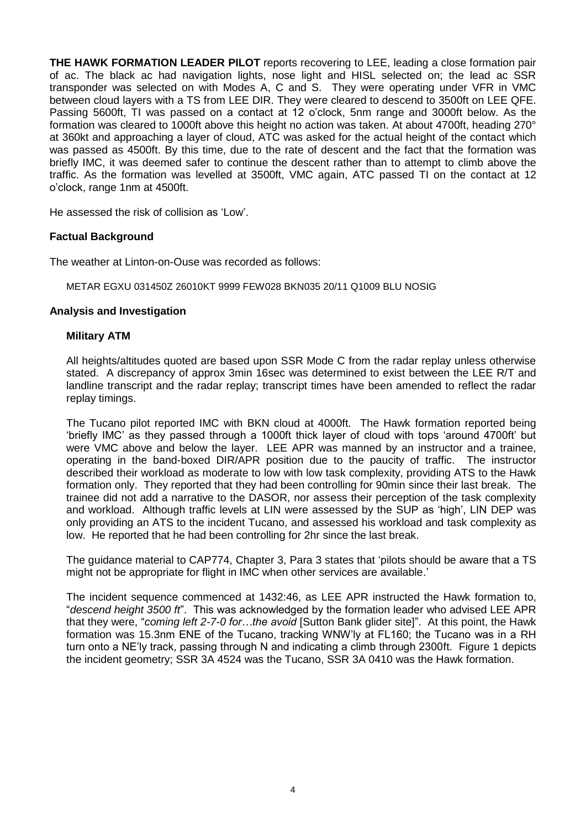**THE HAWK FORMATION LEADER PILOT** reports recovering to LEE, leading a close formation pair of ac. The black ac had navigation lights, nose light and HISL selected on; the lead ac SSR transponder was selected on with Modes A, C and S. They were operating under VFR in VMC between cloud layers with a TS from LEE DIR. They were cleared to descend to 3500ft on LEE QFE. Passing 5600ft, TI was passed on a contact at 12 o'clock, 5nm range and 3000ft below. As the formation was cleared to 1000ft above this height no action was taken. At about 4700ft, heading 270° at 360kt and approaching a layer of cloud, ATC was asked for the actual height of the contact which was passed as 4500ft. By this time, due to the rate of descent and the fact that the formation was briefly IMC, it was deemed safer to continue the descent rather than to attempt to climb above the traffic. As the formation was levelled at 3500ft, VMC again, ATC passed TI on the contact at 12 o'clock, range 1nm at 4500ft.

He assessed the risk of collision as 'Low'.

### **Factual Background**

The weather at Linton-on-Ouse was recorded as follows:

METAR EGXU 031450Z 26010KT 9999 FEW028 BKN035 20/11 Q1009 BLU NOSIG

#### **Analysis and Investigation**

#### **Military ATM**

All heights/altitudes quoted are based upon SSR Mode C from the radar replay unless otherwise stated. A discrepancy of approx 3min 16sec was determined to exist between the LEE R/T and landline transcript and the radar replay; transcript times have been amended to reflect the radar replay timings.

The Tucano pilot reported IMC with BKN cloud at 4000ft. The Hawk formation reported being 'briefly IMC' as they passed through a 1000ft thick layer of cloud with tops 'around 4700ft' but were VMC above and below the layer. LEE APR was manned by an instructor and a trainee, operating in the band-boxed DIR/APR position due to the paucity of traffic. The instructor described their workload as moderate to low with low task complexity, providing ATS to the Hawk formation only. They reported that they had been controlling for 90min since their last break. The trainee did not add a narrative to the DASOR, nor assess their perception of the task complexity and workload. Although traffic levels at LIN were assessed by the SUP as 'high', LIN DEP was only providing an ATS to the incident Tucano, and assessed his workload and task complexity as low. He reported that he had been controlling for 2hr since the last break.

The guidance material to CAP774, Chapter 3, Para 3 states that 'pilots should be aware that a TS might not be appropriate for flight in IMC when other services are available.'

The incident sequence commenced at 1432:46, as LEE APR instructed the Hawk formation to, "*descend height 3500 ft*". This was acknowledged by the formation leader who advised LEE APR that they were, "*coming left 2-7-0 for…the avoid* [Sutton Bank glider site]". At this point, the Hawk formation was 15.3nm ENE of the Tucano, tracking WNW'ly at FL160; the Tucano was in a RH turn onto a NE'ly track, passing through N and indicating a climb through 2300ft. Figure 1 depicts the incident geometry; SSR 3A 4524 was the Tucano, SSR 3A 0410 was the Hawk formation.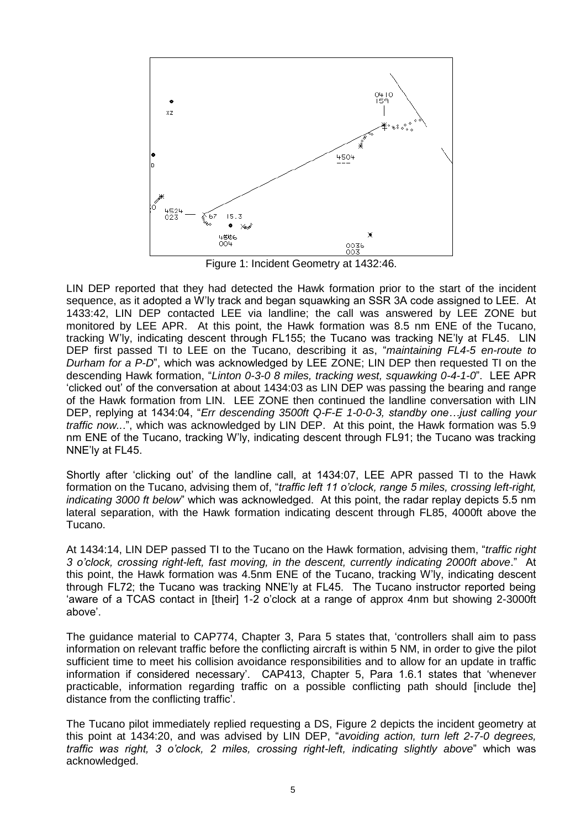

Figure 1: Incident Geometry at 1432:46.

LIN DEP reported that they had detected the Hawk formation prior to the start of the incident sequence, as it adopted a W'ly track and began squawking an SSR 3A code assigned to LEE. At 1433:42, LIN DEP contacted LEE via landline; the call was answered by LEE ZONE but monitored by LEE APR. At this point, the Hawk formation was 8.5 nm ENE of the Tucano, tracking W'ly, indicating descent through FL155; the Tucano was tracking NE'ly at FL45. LIN DEP first passed TI to LEE on the Tucano, describing it as, "*maintaining FL4-5 en-route to Durham for a P-D*", which was acknowledged by LEE ZONE; LIN DEP then requested TI on the descending Hawk formation, "*Linton 0-3-0 8 miles, tracking west, squawking 0-4-1-0*". LEE APR 'clicked out' of the conversation at about 1434:03 as LIN DEP was passing the bearing and range of the Hawk formation from LIN. LEE ZONE then continued the landline conversation with LIN DEP, replying at 1434:04, "*Err descending 3500ft Q-F-E 1-0-0-3, standby one…just calling your traffic now..*.", which was acknowledged by LIN DEP. At this point, the Hawk formation was 5.9 nm ENE of the Tucano, tracking W'ly, indicating descent through FL91; the Tucano was tracking NNE'ly at FL45.

Shortly after 'clicking out' of the landline call, at 1434:07, LEE APR passed TI to the Hawk formation on the Tucano, advising them of, "*traffic left 11 o'clock, range 5 miles, crossing left-right, indicating 3000 ft below*" which was acknowledged. At this point, the radar replay depicts 5.5 nm lateral separation, with the Hawk formation indicating descent through FL85, 4000ft above the Tucano.

At 1434:14, LIN DEP passed TI to the Tucano on the Hawk formation, advising them, "*traffic right 3 o'clock, crossing right-left, fast moving, in the descent, currently indicating 2000ft above*." At this point, the Hawk formation was 4.5nm ENE of the Tucano, tracking W'ly, indicating descent through FL72; the Tucano was tracking NNE'ly at FL45. The Tucano instructor reported being 'aware of a TCAS contact in [their] 1-2 o'clock at a range of approx 4nm but showing 2-3000ft above'.

The guidance material to CAP774, Chapter 3, Para 5 states that, 'controllers shall aim to pass information on relevant traffic before the conflicting aircraft is within 5 NM, in order to give the pilot sufficient time to meet his collision avoidance responsibilities and to allow for an update in traffic information if considered necessary'. CAP413, Chapter 5, Para 1.6.1 states that 'whenever practicable, information regarding traffic on a possible conflicting path should [include the] distance from the conflicting traffic'.

The Tucano pilot immediately replied requesting a DS, Figure 2 depicts the incident geometry at this point at 1434:20, and was advised by LIN DEP, "*avoiding action, turn left 2-7-0 degrees, traffic was right, 3 o'clock, 2 miles, crossing right-left, indicating slightly above*" which was acknowledged.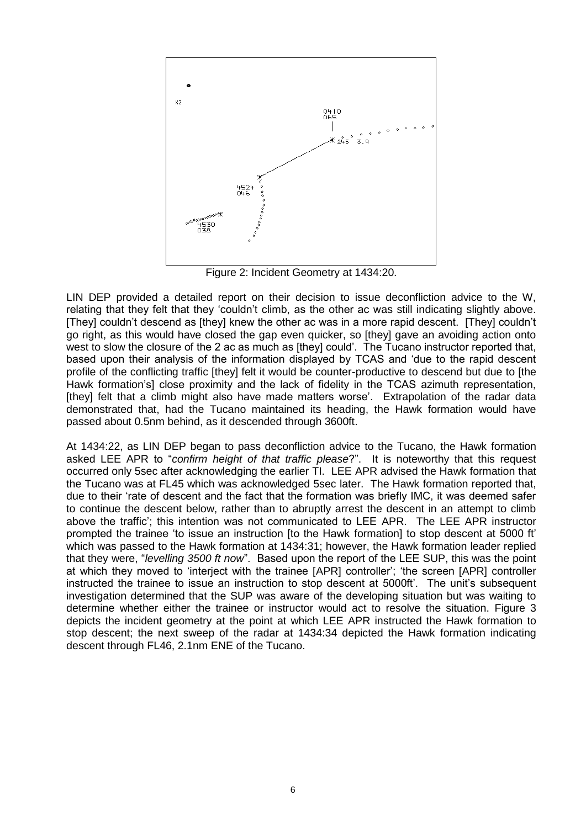

Figure 2: Incident Geometry at 1434:20.

LIN DEP provided a detailed report on their decision to issue deconfliction advice to the W, relating that they felt that they 'couldn't climb, as the other ac was still indicating slightly above. [They] couldn't descend as [they] knew the other ac was in a more rapid descent. [They] couldn't go right, as this would have closed the gap even quicker, so [they] gave an avoiding action onto west to slow the closure of the 2 ac as much as [they] could'. The Tucano instructor reported that, based upon their analysis of the information displayed by TCAS and 'due to the rapid descent profile of the conflicting traffic [they] felt it would be counter-productive to descend but due to [the Hawk formation's] close proximity and the lack of fidelity in the TCAS azimuth representation, [they] felt that a climb might also have made matters worse'. Extrapolation of the radar data demonstrated that, had the Tucano maintained its heading, the Hawk formation would have passed about 0.5nm behind, as it descended through 3600ft.

At 1434:22, as LIN DEP began to pass deconfliction advice to the Tucano, the Hawk formation asked LEE APR to "*confirm height of that traffic please*?". It is noteworthy that this request occurred only 5sec after acknowledging the earlier TI. LEE APR advised the Hawk formation that the Tucano was at FL45 which was acknowledged 5sec later. The Hawk formation reported that, due to their 'rate of descent and the fact that the formation was briefly IMC, it was deemed safer to continue the descent below, rather than to abruptly arrest the descent in an attempt to climb above the traffic'; this intention was not communicated to LEE APR. The LEE APR instructor prompted the trainee 'to issue an instruction [to the Hawk formation] to stop descent at 5000 ft' which was passed to the Hawk formation at 1434:31; however, the Hawk formation leader replied that they were, "*levelling 3500 ft now*". Based upon the report of the LEE SUP, this was the point at which they moved to 'interject with the trainee [APR] controller'; 'the screen [APR] controller instructed the trainee to issue an instruction to stop descent at 5000ft'. The unit's subsequent investigation determined that the SUP was aware of the developing situation but was waiting to determine whether either the trainee or instructor would act to resolve the situation. Figure 3 depicts the incident geometry at the point at which LEE APR instructed the Hawk formation to stop descent; the next sweep of the radar at 1434:34 depicted the Hawk formation indicating descent through FL46, 2.1nm ENE of the Tucano.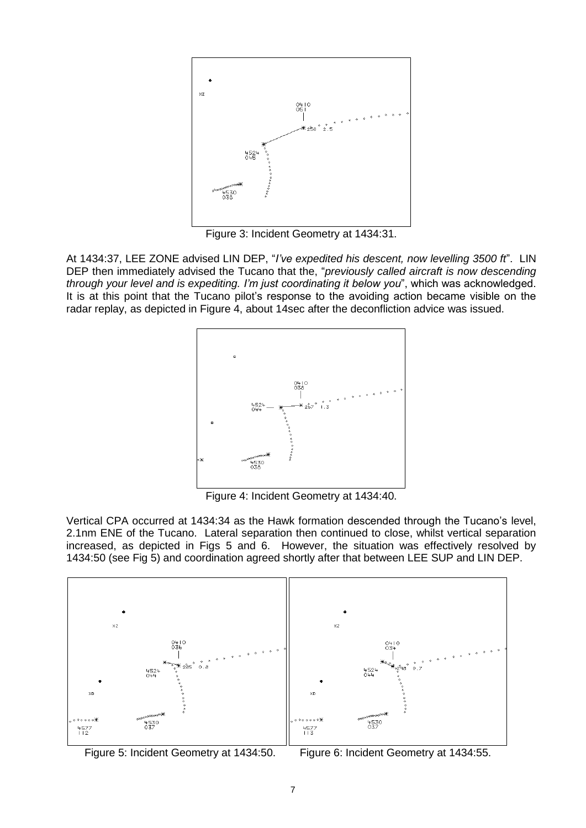

Figure 3: Incident Geometry at 1434:31.

At 1434:37, LEE ZONE advised LIN DEP, "*I've expedited his descent, now levelling 3500 ft*". LIN DEP then immediately advised the Tucano that the, "*previously called aircraft is now descending through your level and is expediting. I'm just coordinating it below you*", which was acknowledged. It is at this point that the Tucano pilot's response to the avoiding action became visible on the radar replay, as depicted in Figure 4, about 14sec after the deconfliction advice was issued.



Figure 4: Incident Geometry at 1434:40.

Vertical CPA occurred at 1434:34 as the Hawk formation descended through the Tucano's level, 2.1nm ENE of the Tucano. Lateral separation then continued to close, whilst vertical separation increased, as depicted in Figs 5 and 6. However, the situation was effectively resolved by 1434:50 (see Fig 5) and coordination agreed shortly after that between LEE SUP and LIN DEP.



Figure 5: Incident Geometry at 1434:50. Figure 6: Incident Geometry at 1434:55.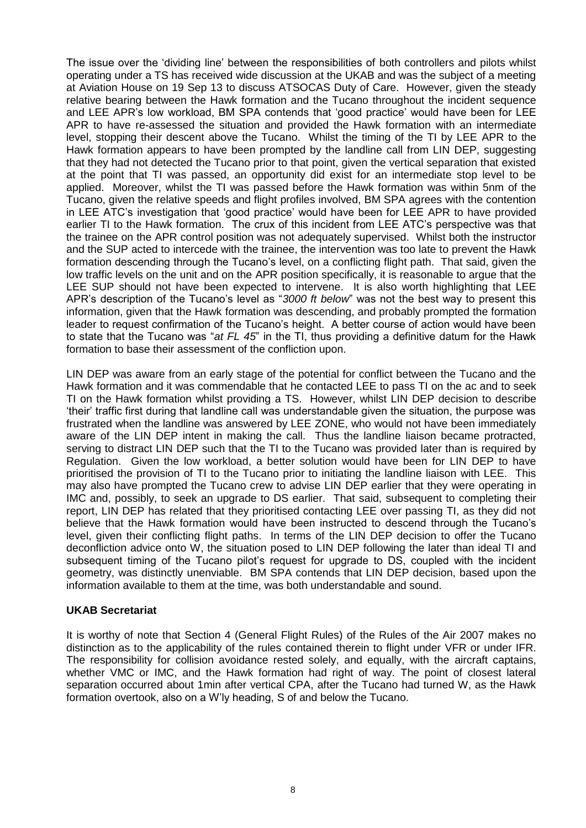The issue over the 'dividing line' between the responsibilities of both controllers and pilots whilst operating under a TS has received wide discussion at the UKAB and was the subject of a meeting at Aviation House on 19 Sep 13 to discuss ATSOCAS Duty of Care. However, given the steady relative bearing between the Hawk formation and the Tucano throughout the incident sequence and LEE APR's low workload, BM SPA contends that 'good practice' would have been for LEE APR to have re-assessed the situation and provided the Hawk formation with an intermediate level, stopping their descent above the Tucano. Whilst the timing of the TI by LEE APR to the Hawk formation appears to have been prompted by the landline call from LIN DEP, suggesting that they had not detected the Tucano prior to that point, given the vertical separation that existed at the point that TI was passed, an opportunity did exist for an intermediate stop level to be applied. Moreover, whilst the TI was passed before the Hawk formation was within 5nm of the Tucano, given the relative speeds and flight profiles involved, BM SPA agrees with the contention in LEE ATC's investigation that 'good practice' would have been for LEE APR to have provided earlier TI to the Hawk formation. The crux of this incident from LEE ATC's perspective was that the trainee on the APR control position was not adequately supervised. Whilst both the instructor and the SUP acted to intercede with the trainee, the intervention was too late to prevent the Hawk formation descending through the Tucano's level, on a conflicting flight path. That said, given the low traffic levels on the unit and on the APR position specifically, it is reasonable to argue that the LEE SUP should not have been expected to intervene. It is also worth highlighting that LEE APR's description of the Tucano's level as "*3000 ft below*" was not the best way to present this information, given that the Hawk formation was descending, and probably prompted the formation leader to request confirmation of the Tucano's height. A better course of action would have been to state that the Tucano was "*at FL 45*" in the TI, thus providing a definitive datum for the Hawk formation to base their assessment of the confliction upon.

LIN DEP was aware from an early stage of the potential for conflict between the Tucano and the Hawk formation and it was commendable that he contacted LEE to pass TI on the ac and to seek TI on the Hawk formation whilst providing a TS. However, whilst LIN DEP decision to describe 'their' traffic first during that landline call was understandable given the situation, the purpose was frustrated when the landline was answered by LEE ZONE, who would not have been immediately aware of the LIN DEP intent in making the call. Thus the landline liaison became protracted, serving to distract LIN DEP such that the TI to the Tucano was provided later than is required by Regulation. Given the low workload, a better solution would have been for LIN DEP to have prioritised the provision of TI to the Tucano prior to initiating the landline liaison with LEE. This may also have prompted the Tucano crew to advise LIN DEP earlier that they were operating in IMC and, possibly, to seek an upgrade to DS earlier. That said, subsequent to completing their report, LIN DEP has related that they prioritised contacting LEE over passing TI, as they did not believe that the Hawk formation would have been instructed to descend through the Tucano's level, given their conflicting flight paths. In terms of the LIN DEP decision to offer the Tucano deconfliction advice onto W, the situation posed to LIN DEP following the later than ideal TI and subsequent timing of the Tucano pilot's request for upgrade to DS, coupled with the incident geometry, was distinctly unenviable. BM SPA contends that LIN DEP decision, based upon the information available to them at the time, was both understandable and sound.

### **UKAB Secretariat**

It is worthy of note that Section 4 (General Flight Rules) of the Rules of the Air 2007 makes no distinction as to the applicability of the rules contained therein to flight under VFR or under IFR. The responsibility for collision avoidance rested solely, and equally, with the aircraft captains, whether VMC or IMC, and the Hawk formation had right of way. The point of closest lateral separation occurred about 1min after vertical CPA, after the Tucano had turned W, as the Hawk formation overtook, also on a W'ly heading, S of and below the Tucano.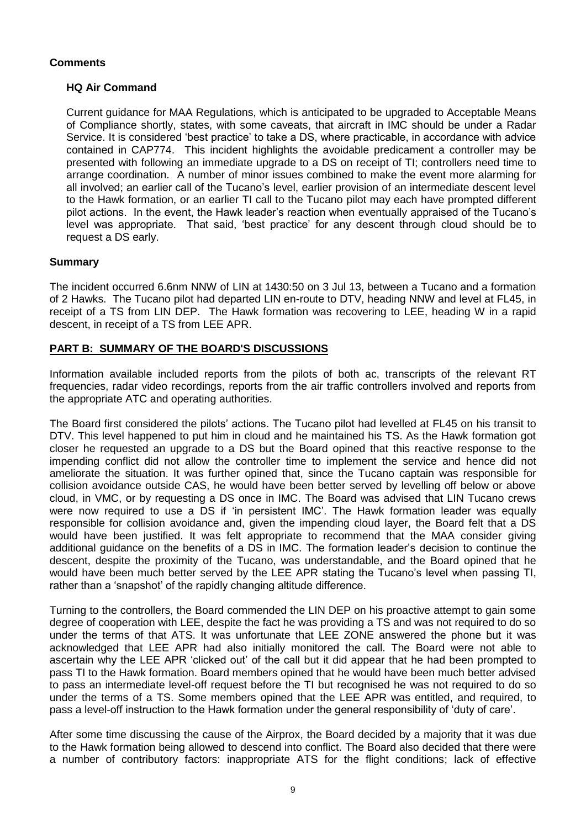## **Comments**

## **HQ Air Command**

Current guidance for MAA Regulations, which is anticipated to be upgraded to Acceptable Means of Compliance shortly, states, with some caveats, that aircraft in IMC should be under a Radar Service. It is considered 'best practice' to take a DS, where practicable, in accordance with advice contained in CAP774. This incident highlights the avoidable predicament a controller may be presented with following an immediate upgrade to a DS on receipt of TI; controllers need time to arrange coordination. A number of minor issues combined to make the event more alarming for all involved; an earlier call of the Tucano's level, earlier provision of an intermediate descent level to the Hawk formation, or an earlier TI call to the Tucano pilot may each have prompted different pilot actions. In the event, the Hawk leader's reaction when eventually appraised of the Tucano's level was appropriate. That said, 'best practice' for any descent through cloud should be to request a DS early.

### **Summary**

The incident occurred 6.6nm NNW of LIN at 1430:50 on 3 Jul 13, between a Tucano and a formation of 2 Hawks. The Tucano pilot had departed LIN en-route to DTV, heading NNW and level at FL45, in receipt of a TS from LIN DEP. The Hawk formation was recovering to LEE, heading W in a rapid descent, in receipt of a TS from LEE APR.

## **PART B: SUMMARY OF THE BOARD'S DISCUSSIONS**

Information available included reports from the pilots of both ac, transcripts of the relevant RT frequencies, radar video recordings, reports from the air traffic controllers involved and reports from the appropriate ATC and operating authorities.

The Board first considered the pilots' actions. The Tucano pilot had levelled at FL45 on his transit to DTV. This level happened to put him in cloud and he maintained his TS. As the Hawk formation got closer he requested an upgrade to a DS but the Board opined that this reactive response to the impending conflict did not allow the controller time to implement the service and hence did not ameliorate the situation. It was further opined that, since the Tucano captain was responsible for collision avoidance outside CAS, he would have been better served by levelling off below or above cloud, in VMC, or by requesting a DS once in IMC. The Board was advised that LIN Tucano crews were now required to use a DS if 'in persistent IMC'. The Hawk formation leader was equally responsible for collision avoidance and, given the impending cloud layer, the Board felt that a DS would have been justified. It was felt appropriate to recommend that the MAA consider giving additional guidance on the benefits of a DS in IMC. The formation leader's decision to continue the descent, despite the proximity of the Tucano, was understandable, and the Board opined that he would have been much better served by the LEE APR stating the Tucano's level when passing TI, rather than a 'snapshot' of the rapidly changing altitude difference.

Turning to the controllers, the Board commended the LIN DEP on his proactive attempt to gain some degree of cooperation with LEE, despite the fact he was providing a TS and was not required to do so under the terms of that ATS. It was unfortunate that LEE ZONE answered the phone but it was acknowledged that LEE APR had also initially monitored the call. The Board were not able to ascertain why the LEE APR 'clicked out' of the call but it did appear that he had been prompted to pass TI to the Hawk formation. Board members opined that he would have been much better advised to pass an intermediate level-off request before the TI but recognised he was not required to do so under the terms of a TS. Some members opined that the LEE APR was entitled, and required, to pass a level-off instruction to the Hawk formation under the general responsibility of 'duty of care'.

After some time discussing the cause of the Airprox, the Board decided by a majority that it was due to the Hawk formation being allowed to descend into conflict. The Board also decided that there were a number of contributory factors: inappropriate ATS for the flight conditions; lack of effective